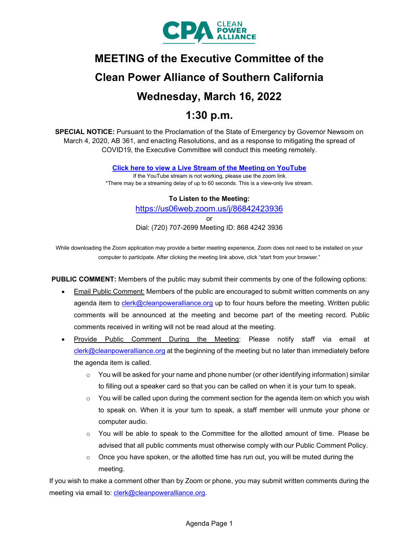

# **MEETING of the Executive Committee of the Clean Power Alliance of Southern California Wednesday, March 16, 2022**

# **1:30 p.m.**

**SPECIAL NOTICE:** Pursuant to the Proclamation of the State of Emergency by Governor Newsom on March 4, 2020, AB 361, and enacting Resolutions, and as a response to mitigating the spread of COVID19, the Executive Committee will conduct this meeting remotely.

**[Click here to view a Live Stream of the Meeting on YouTube](https://youtu.be/u7pBbg7CaRk)**

If the YouTube stream is not working, please use the zoom link. \*There may be a streaming delay of up to 60 seconds. This is a view-only live stream.

#### **To Listen to the Meeting:**

<https://us06web.zoom.us/j/86842423936>

or

Dial: (720) 707-2699 Meeting ID: 868 4242 3936

While downloading the Zoom application may provide a better meeting experience, Zoom does not need to be installed on your computer to participate. After clicking the meeting link above, click "start from your browser."

**PUBLIC COMMENT:** Members of the public may submit their comments by one of the following options:

- Email Public Comment: Members of the public are encouraged to submit written comments on any agenda item to [clerk@cleanpoweralliance.org](mailto:clerk@cleanpoweralliance.org) up to four hours before the meeting. Written public comments will be announced at the meeting and become part of the meeting record. Public comments received in writing will not be read aloud at the meeting.
- Provide Public Comment During the Meeting: Please notify staff via email at [clerk@cleanpoweralliance.org](mailto:clerk@cleanpoweralliance.org) at the beginning of the meeting but no later than immediately before the agenda item is called.
	- $\circ$  You will be asked for your name and phone number (or other identifying information) similar to filling out a speaker card so that you can be called on when it is your turn to speak.
	- $\circ$  You will be called upon during the comment section for the agenda item on which you wish to speak on. When it is your turn to speak, a staff member will unmute your phone or computer audio.
	- o You will be able to speak to the Committee for the allotted amount of time.  Please be advised that all public comments must otherwise comply with our Public Comment Policy.
	- $\circ$  Once you have spoken, or the allotted time has run out, you will be muted during the meeting.

If you wish to make a comment other than by Zoom or phone, you may submit written comments during the meeting via email to: [clerk@cleanpoweralliance.org.](mailto:clerk@cleanpoweralliance.org)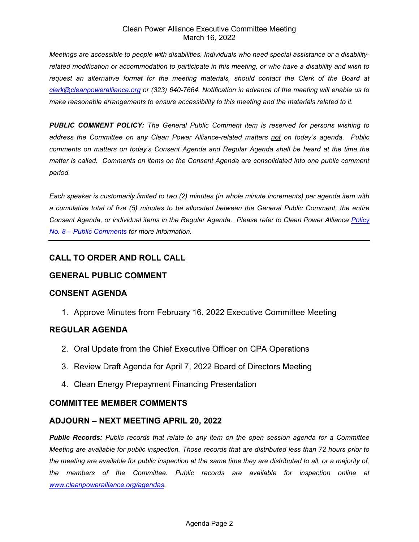#### Clean Power Alliance Executive Committee Meeting March 16, 2022

*Meetings are accessible to people with disabilities. Individuals who need special assistance or a disabilityrelated modification or accommodation to participate in this meeting, or who have a disability and wish to request an alternative format for the meeting materials, should contact the Clerk of the Board at [clerk@cleanpoweralliance.org](mailto:clerk@cleanpoweralliance.org) or (323) 640-7664. Notification in advance of the meeting will enable us to make reasonable arrangements to ensure accessibility to this meeting and the materials related to it.*

*PUBLIC COMMENT POLICY: The General Public Comment item is reserved for persons wishing to address the Committee on any Clean Power Alliance-related matters not on today's agenda. Public comments on matters on today's Consent Agenda and Regular Agenda shall be heard at the time the matter is called. Comments on items on the Consent Agenda are consolidated into one public comment period.* 

*Each speaker is customarily limited to two (2) minutes (in whole minute increments) per agenda item with a cumulative total of five (5) minutes to be allocated between the General Public Comment, the entire Consent Agenda, or individual items in the Regular Agenda. Please refer to Clean Power Alliance [Policy](https://cleanpoweralliance.org/wp-content/uploads/2019/03/CPA2019-08_Policy_Public-Comment.pdf)  [No. 8 – Public Comments](https://cleanpoweralliance.org/wp-content/uploads/2019/03/CPA2019-08_Policy_Public-Comment.pdf) for more information.*

# **CALL TO ORDER AND ROLL CALL**

### **GENERAL PUBLIC COMMENT**

#### **CONSENT AGENDA**

1. Approve Minutes from February 16, 2022 Executive Committee Meeting

#### **REGULAR AGENDA**

- 2. Oral Update from the Chief Executive Officer on CPA Operations
- 3. Review Draft Agenda for April 7, 2022 Board of Directors Meeting
- 4. Clean Energy Prepayment Financing Presentation

#### **COMMITTEE MEMBER COMMENTS**

# **ADJOURN – NEXT MEETING APRIL 20, 2022**

*Public Records: Public records that relate to any item on the open session agenda for a Committee Meeting are available for public inspection. Those records that are distributed less than 72 hours prior to the meeting are available for public inspection at the same time they are distributed to all, or a majority of, the members of the Committee. Public records are available for inspection online at [www.cleanpoweralliance.org/](http://www.cleanpoweralliance.org/)agendas.*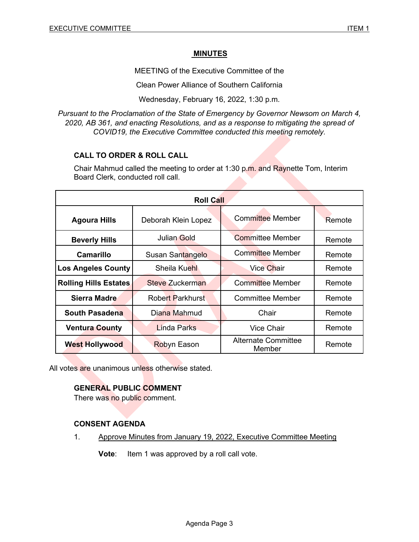#### **MINUTES**

MEETING of the Executive Committee of the

Clean Power Alliance of Southern California

Wednesday, February 16, 2022, 1:30 p.m.

*Pursuant to the Proclamation of the State of Emergency by Governor Newsom on March 4, 2020, AB 361, and enacting Resolutions, and as a response to mitigating the spread of COVID19, the Executive Committee conducted this meeting remotely.*

#### **CALL TO ORDER & ROLL CALL**

Chair Mahmud called the meeting to order at 1:30 p.m. and Raynette Tom, Interim Board Clerk, conducted roll call.

| <b>Roll Call</b>             |                         |                                      |        |
|------------------------------|-------------------------|--------------------------------------|--------|
| <b>Agoura Hills</b>          | Deborah Klein Lopez     | <b>Committee Member</b>              | Remote |
| <b>Beverly Hills</b>         | <b>Julian Gold</b>      | <b>Committee Member</b>              | Remote |
| Camarillo                    | Susan Santangelo        | <b>Committee Member</b>              | Remote |
| <b>Los Angeles County</b>    | Sheila Kuehl            | <b>Vice Chair</b>                    | Remote |
| <b>Rolling Hills Estates</b> | Steve Zuckerman         | <b>Committee Member</b>              | Remote |
| Sierra Madre                 | <b>Robert Parkhurst</b> | Committee Member                     | Remote |
| <b>South Pasadena</b>        | Diana Mahmud            | Chair                                | Remote |
| <b>Ventura County</b>        | Linda Parks             | Vice Chair                           | Remote |
| <b>West Hollywood</b>        | <b>Robyn Eason</b>      | <b>Alternate Committee</b><br>Member | Remote |

All votes are unanimous unless otherwise stated.

#### **GENERAL PUBLIC COMMENT**

There was no public comment.

#### **CONSENT AGENDA**

1. Approve Minutes from January 19, 2022, Executive Committee Meeting

**Vote:** Item 1 was approved by a roll call vote.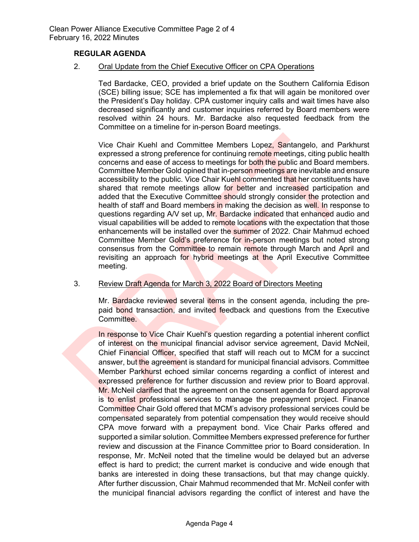#### **REGULAR AGENDA**

2. Oral Update from the Chief Executive Officer on CPA Operations

Ted Bardacke, CEO, provided a brief update on the Southern California Edison (SCE) billing issue; SCE has implemented a fix that will again be monitored over the President's Day holiday. CPA customer inquiry calls and wait times have also decreased significantly and customer inquiries referred by Board members were resolved within 24 hours. Mr. Bardacke also requested feedback from the Committee on a timeline for in-person Board meetings.

Vice Chair Kuehl and Committee Members Lopez, Santangelo, and Parkhurst expressed a strong preference for continuing remote meetings, citing public health concerns and ease of access to meetings for both the public and Board members. Committee Member Gold opined that in-person meetings are inevitable and ensure accessibility to the public. Vice Chair Kuehl commented that her constituents have shared that remote meetings allow for better and increased participation and added that the Executive Committee should strongly consider the protection and health of staff and Board members in making the decision as well. In response to questions regarding A/V set up, Mr. Bardacke indicated that enhanced audio and visual capabilities will be added to remote locations with the expectation that those enhancements will be installed over the summer of 2022. Chair Mahmud echoed Committee Member Gold's preference for in-person meetings but noted strong consensus from the Committee to remain remote through March and April and revisiting an approach for hybrid meetings at the April Executive Committee meeting.

#### 3. Review Draft Agenda for March 3, 2022 Board of Directors Meeting

Mr. Bardacke reviewed several items in the consent agenda, including the prepaid bond transaction, and invited feedback and questions from the Executive Committee.

In response to Vice Chair Kuehl's question regarding a potential inherent conflict of interest on the municipal financial advisor service agreement, David McNeil, Chief Financial Officer, specified that staff will reach out to MCM for a succinct answer, but the agreement is standard for municipal financial advisors. Committee Member Parkhurst echoed similar concerns regarding a conflict of interest and expressed preference for further discussion and review prior to Board approval. Mr. McNeil clarified that the agreement on the consent agenda for Board approval is to enlist professional services to manage the prepayment project. Finance Committee Chair Gold offered that MCM's advisory professional services could be compensated separately from potential compensation they would receive should CPA move forward with a prepayment bond. Vice Chair Parks offered and supported a similar solution. Committee Members expressed preference for further review and discussion at the Finance Committee prior to Board consideration. In response, Mr. McNeil noted that the timeline would be delayed but an adverse effect is hard to predict; the current market is conducive and wide enough that banks are interested in doing these transactions, but that may change quickly. After further discussion, Chair Mahmud recommended that Mr. McNeil confer with the municipal financial advisors regarding the conflict of interest and have the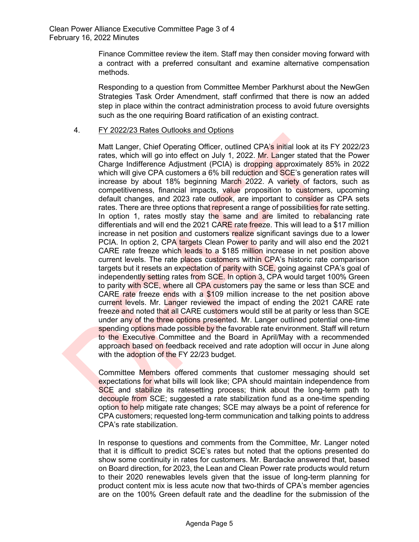Finance Committee review the item. Staff may then consider moving forward with a contract with a preferred consultant and examine alternative compensation methods.

Responding to a question from Committee Member Parkhurst about the NewGen Strategies Task Order Amendment, staff confirmed that there is now an added step in place within the contract administration process to avoid future oversights such as the one requiring Board ratification of an existing contract.

#### 4. FY 2022/23 Rates Outlooks and Options

Matt Langer, Chief Operating Officer, outlined CPA's initial look at its FY 2022/23 rates, which will go into effect on July 1, 2022. Mr. Langer stated that the Power Charge Indifference Adjustment (PCIA) is dropping approximately 85% in 2022 which will give CPA customers a 6% bill reduction and SCE's generation rates will increase by about 18% beginning March 2022. A variety of factors, such as competitiveness, financial impacts, value proposition to customers, upcoming default changes, and 2023 rate outlook, are important to consider as CPA sets rates. There are three options that represent a range of possibilities for rate setting. In option 1, rates mostly stay the same and are limited to rebalancing rate differentials and will end the 2021 CARE rate freeze. This will lead to a \$17 million increase in net position and customers realize significant savings due to a lower PCIA. In option 2, CPA targets Clean Power to parity and will also end the 2021 CARE rate freeze which leads to a \$185 million increase in net position above current levels. The rate places customers within CPA's historic rate comparison targets but it resets an expectation of parity with SCE, going against CPA's goal of independently setting rates from SCE. In option 3, CPA would target 100% Green to parity with SCE, where all CPA customers pay the same or less than SCE and CARE rate freeze ends with a \$109 million increase to the net position above current levels. Mr. Langer reviewed the impact of ending the 2021 CARE rate freeze and noted that all CARE customers would still be at parity or less than SCE under any of the three options presented. Mr. Langer outlined potential one-time spending options made possible by the favorable rate environment. Staff will return to the Executive Committee and the Board in April/May with a recommended approach based on feedback received and rate adoption will occur in June along with the adoption of the FY 22/23 budget.

Committee Members offered comments that customer messaging should set expectations for what bills will look like; CPA should maintain independence from SCE and stabilize its ratesetting process; think about the long-term path to decouple from SCE; suggested a rate stabilization fund as a one-time spending option to help mitigate rate changes; SCE may always be a point of reference for CPA customers; requested long-term communication and talking points to address CPA's rate stabilization.

In response to questions and comments from the Committee, Mr. Langer noted that it is difficult to predict SCE's rates but noted that the options presented do show some continuity in rates for customers. Mr. Bardacke answered that, based on Board direction, for 2023, the Lean and Clean Power rate products would return to their 2020 renewables levels given that the issue of long-term planning for product content mix is less acute now that two-thirds of CPA's member agencies are on the 100% Green default rate and the deadline for the submission of the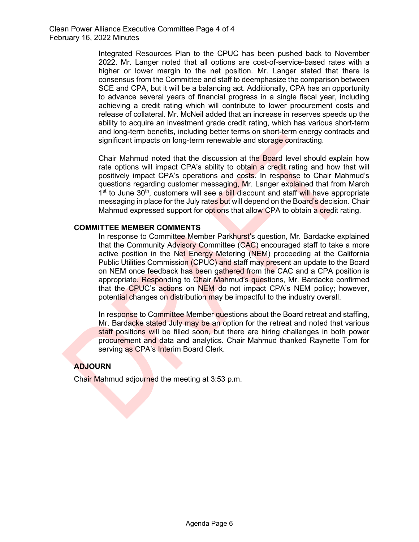Integrated Resources Plan to the CPUC has been pushed back to November 2022. Mr. Langer noted that all options are cost-of-service-based rates with a higher or lower margin to the net position. Mr. Langer stated that there is consensus from the Committee and staff to deemphasize the comparison between SCE and CPA, but it will be a balancing act. Additionally, CPA has an opportunity to advance several years of financial progress in a single fiscal year, including achieving a credit rating which will contribute to lower procurement costs and release of collateral. Mr. McNeil added that an increase in reserves speeds up the ability to acquire an investment grade credit rating, which has various short-term and long-term benefits, including better terms on short-term energy contracts and significant impacts on long-term renewable and storage contracting.

Chair Mahmud noted that the discussion at the Board level should explain how rate options will impact CPA's ability to obtain a credit rating and how that will positively impact CPA's operations and costs. In response to Chair Mahmud's questions regarding customer messaging, Mr. Langer explained that from March  $1<sup>st</sup>$  to June 30<sup>th</sup>, customers will see a **bill discount and staff will have appropriate** messaging in place for the July rates but will depend on the Board's decision. Chair Mahmud expressed support for options that allow CPA to obtain a credit rating.

#### **COMMITTEE MEMBER COMMENTS**

In response to Committee Member Parkhurst's question, Mr. Bardacke explained that the Community Advisory Committee (CAC) encouraged staff to take a more active position in the Net Energy Metering (NEM) proceeding at the California Public Utilities Commission (CPUC) and staff may present an update to the Board on NEM once feedback has been gathered from the CAC and a CPA position is appropriate. Responding to Chair Mahmud's questions, Mr. Bardacke confirmed that the CPUC's actions on NEM do not impact CPA's NEM policy; however, potential changes on distribution may be impactful to the industry overall.

In response to Committee Member questions about the Board retreat and staffing, Mr. Bardacke stated July may be an option for the retreat and noted that various staff positions will be filled soon, but there are hiring challenges in both power procurement and data and analytics. Chair Mahmud thanked Raynette Tom for serving as CPA's Interim Board Clerk.

#### **ADJOURN**

Chair Mahmud adjourned the meeting at 3:53 p.m.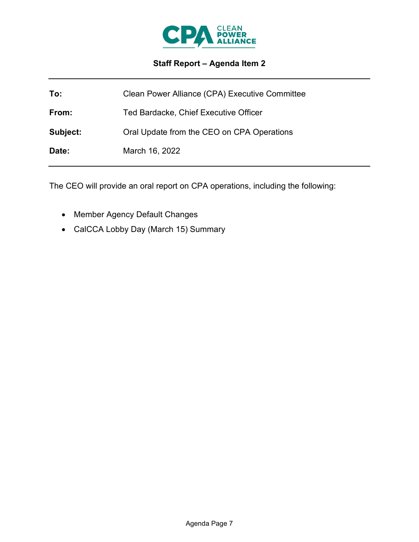

# **Staff Report – Agenda Item 2**

| To:      | Clean Power Alliance (CPA) Executive Committee |
|----------|------------------------------------------------|
| From:    | Ted Bardacke, Chief Executive Officer          |
| Subject: | Oral Update from the CEO on CPA Operations     |
| Date:    | March 16, 2022                                 |

The CEO will provide an oral report on CPA operations, including the following:

- Member Agency Default Changes
- CalCCA Lobby Day (March 15) Summary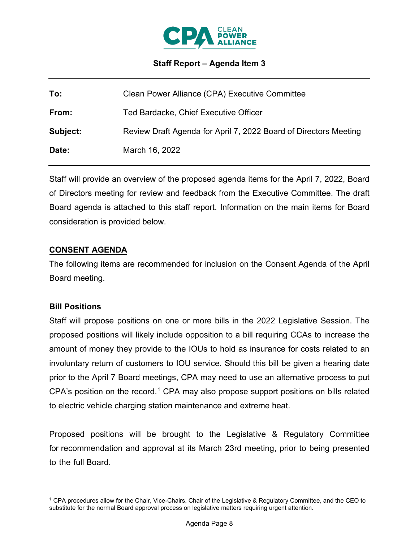

### **Staff Report – Agenda Item 3**

| To:      | Clean Power Alliance (CPA) Executive Committee                   |
|----------|------------------------------------------------------------------|
| From:    | Ted Bardacke, Chief Executive Officer                            |
| Subject: | Review Draft Agenda for April 7, 2022 Board of Directors Meeting |
| Date:    | March 16, 2022                                                   |

Staff will provide an overview of the proposed agenda items for the April 7, 2022, Board of Directors meeting for review and feedback from the Executive Committee. The draft Board agenda is attached to this staff report. Information on the main items for Board consideration is provided below.

#### **CONSENT AGENDA**

The following items are recommended for inclusion on the Consent Agenda of the April Board meeting.

#### **Bill Positions**

Staff will propose positions on one or more bills in the 2022 Legislative Session. The proposed positions will likely include opposition to a bill requiring CCAs to increase the amount of money they provide to the IOUs to hold as insurance for costs related to an involuntary return of customers to IOU service. Should this bill be given a hearing date prior to the April 7 Board meetings, CPA may need to use an alternative process to put CPA's position on the record.<sup>[1](#page-7-0)</sup> CPA may also propose support positions on bills related to electric vehicle charging station maintenance and extreme heat.

Proposed positions will be brought to the Legislative & Regulatory Committee for recommendation and approval at its March 23rd meeting, prior to being presented to the full Board.

<span id="page-7-0"></span><sup>1</sup> CPA procedures allow for the Chair, Vice-Chairs, Chair of the Legislative & Regulatory Committee, and the CEO to substitute for the normal Board approval process on legislative matters requiring urgent attention.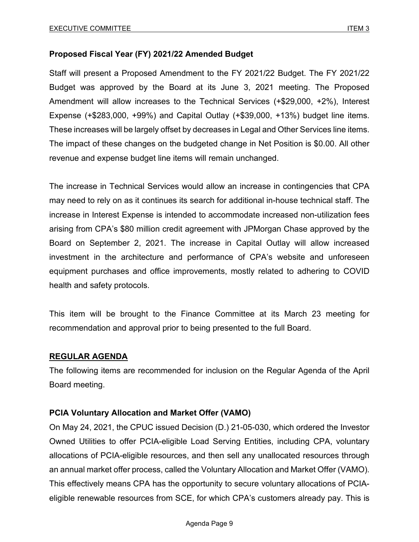### **Proposed Fiscal Year (FY) 2021/22 Amended Budget**

Staff will present a Proposed Amendment to the FY 2021/22 Budget. The FY 2021/22 Budget was approved by the Board at its June 3, 2021 meeting. The Proposed Amendment will allow increases to the Technical Services (+\$29,000, +2%), Interest Expense (+\$283,000, +99%) and Capital Outlay (+\$39,000, +13%) budget line items. These increases will be largely offset by decreases in Legal and Other Services line items. The impact of these changes on the budgeted change in Net Position is \$0.00. All other revenue and expense budget line items will remain unchanged.

The increase in Technical Services would allow an increase in contingencies that CPA may need to rely on as it continues its search for additional in-house technical staff. The increase in Interest Expense is intended to accommodate increased non-utilization fees arising from CPA's \$80 million credit agreement with JPMorgan Chase approved by the Board on September 2, 2021. The increase in Capital Outlay will allow increased investment in the architecture and performance of CPA's website and unforeseen equipment purchases and office improvements, mostly related to adhering to COVID health and safety protocols.

This item will be brought to the Finance Committee at its March 23 meeting for recommendation and approval prior to being presented to the full Board.

#### **REGULAR AGENDA**

The following items are recommended for inclusion on the Regular Agenda of the April Board meeting.

#### **PCIA Voluntary Allocation and Market Offer (VAMO)**

On May 24, 2021, the CPUC issued Decision (D.) 21-05-030, which ordered the Investor Owned Utilities to offer PCIA-eligible Load Serving Entities, including CPA, voluntary allocations of PCIA-eligible resources, and then sell any unallocated resources through an annual market offer process, called the Voluntary Allocation and Market Offer (VAMO). This effectively means CPA has the opportunity to secure voluntary allocations of PCIAeligible renewable resources from SCE, for which CPA's customers already pay. This is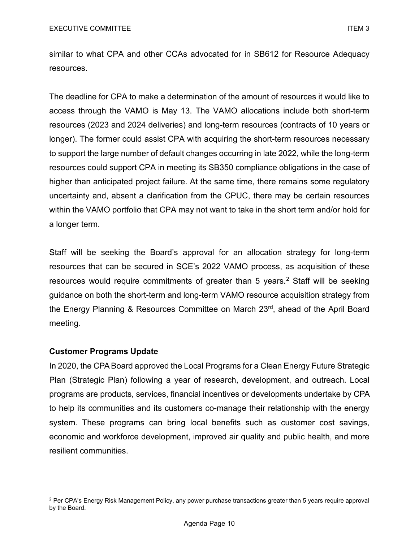similar to what CPA and other CCAs advocated for in SB612 for Resource Adequacy resources.

The deadline for CPA to make a determination of the amount of resources it would like to access through the VAMO is May 13. The VAMO allocations include both short-term resources (2023 and 2024 deliveries) and long-term resources (contracts of 10 years or longer). The former could assist CPA with acquiring the short-term resources necessary to support the large number of default changes occurring in late 2022, while the long-term resources could support CPA in meeting its SB350 compliance obligations in the case of higher than anticipated project failure. At the same time, there remains some regulatory uncertainty and, absent a clarification from the CPUC, there may be certain resources within the VAMO portfolio that CPA may not want to take in the short term and/or hold for a longer term.

Staff will be seeking the Board's approval for an allocation strategy for long-term resources that can be secured in SCE's 2022 VAMO process, as acquisition of these resources would require commitments of greater than 5 years.<sup>[2](#page-9-0)</sup> Staff will be seeking guidance on both the short-term and long-term VAMO resource acquisition strategy from the Energy Planning & Resources Committee on March 23rd, ahead of the April Board meeting.

# **Customer Programs Update**

In 2020, the CPA Board approved the Local Programs for a Clean Energy Future Strategic Plan (Strategic Plan) following a year of research, development, and outreach. Local programs are products, services, financial incentives or developments undertake by CPA to help its communities and its customers co-manage their relationship with the energy system. These programs can bring local benefits such as customer cost savings, economic and workforce development, improved air quality and public health, and more resilient communities.

<span id="page-9-0"></span><sup>&</sup>lt;sup>2</sup> Per CPA's Energy Risk Management Policy, any power purchase transactions greater than 5 years require approval by the Board.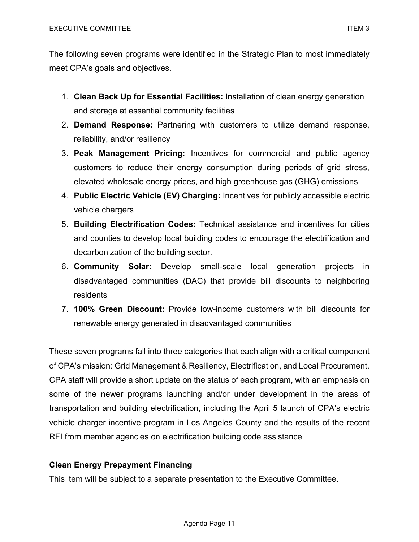The following seven programs were identified in the Strategic Plan to most immediately meet CPA's goals and objectives.

- 1. **Clean Back Up for Essential Facilities:** Installation of clean energy generation and storage at essential community facilities
- 2. **Demand Response:** Partnering with customers to utilize demand response, reliability, and/or resiliency
- 3. **Peak Management Pricing:** Incentives for commercial and public agency customers to reduce their energy consumption during periods of grid stress, elevated wholesale energy prices, and high greenhouse gas (GHG) emissions
- 4. **Public Electric Vehicle (EV) Charging:** Incentives for publicly accessible electric vehicle chargers
- 5. **Building Electrification Codes:** Technical assistance and incentives for cities and counties to develop local building codes to encourage the electrification and decarbonization of the building sector.
- 6. **Community Solar:** Develop small-scale local generation projects in disadvantaged communities (DAC) that provide bill discounts to neighboring residents
- 7. **100% Green Discount:** Provide low-income customers with bill discounts for renewable energy generated in disadvantaged communities

These seven programs fall into three categories that each align with a critical component of CPA's mission: Grid Management & Resiliency, Electrification, and Local Procurement. CPA staff will provide a short update on the status of each program, with an emphasis on some of the newer programs launching and/or under development in the areas of transportation and building electrification, including the April 5 launch of CPA's electric vehicle charger incentive program in Los Angeles County and the results of the recent RFI from member agencies on electrification building code assistance

# **Clean Energy Prepayment Financing**

This item will be subject to a separate presentation to the Executive Committee.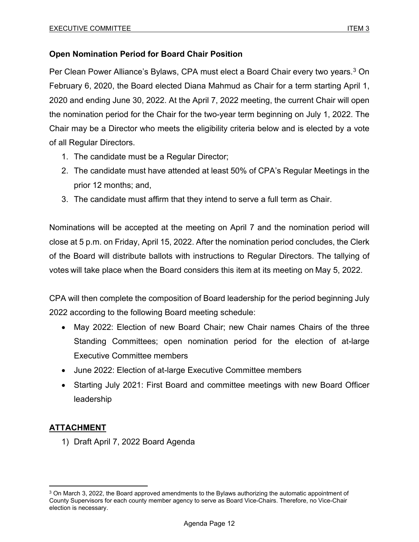# **Open Nomination Period for Board Chair Position**

Per Clean Power Alliance's Bylaws, CPA must elect a Board Chair every two years.<sup>[3](#page-11-0)</sup> On February 6, 2020, the Board elected Diana Mahmud as Chair for a term starting April 1, 2020 and ending June 30, 2022. At the April 7, 2022 meeting, the current Chair will open the nomination period for the Chair for the two-year term beginning on July 1, 2022. The Chair may be a Director who meets the eligibility criteria below and is elected by a vote of all Regular Directors.

- 1. The candidate must be a Regular Director;
- 2. The candidate must have attended at least 50% of CPA's Regular Meetings in the prior 12 months; and,
- 3. The candidate must affirm that they intend to serve a full term as Chair.

Nominations will be accepted at the meeting on April 7 and the nomination period will close at 5 p.m. on Friday, April 15, 2022. After the nomination period concludes, the Clerk of the Board will distribute ballots with instructions to Regular Directors. The tallying of votes will take place when the Board considers this item at its meeting on May 5, 2022.

CPA will then complete the composition of Board leadership for the period beginning July 2022 according to the following Board meeting schedule:

- May 2022: Election of new Board Chair; new Chair names Chairs of the three Standing Committees; open nomination period for the election of at-large Executive Committee members
- June 2022: Election of at-large Executive Committee members
- Starting July 2021: First Board and committee meetings with new Board Officer leadership

# **ATTACHMENT**

1) Draft April 7, 2022 Board Agenda

<span id="page-11-0"></span> $3$  On March 3, 2022, the Board approved amendments to the Bylaws authorizing the automatic appointment of County Supervisors for each county member agency to serve as Board Vice-Chairs. Therefore, no Vice-Chair election is necessary.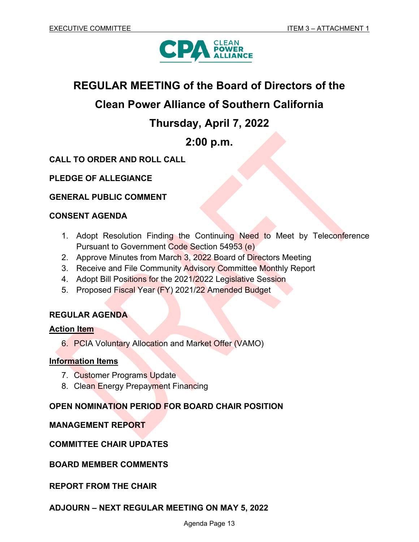

# **REGULAR MEETING of the Board of Directors of the**

# **Clean Power Alliance of Southern California**

# **Thursday, April 7, 2022**

# **2:00 p.m.**

# **CALL TO ORDER AND ROLL CALL**

**PLEDGE OF ALLEGIANCE**

**GENERAL PUBLIC COMMENT**

### **CONSENT AGENDA**

- 1. Adopt Resolution Finding the Continuing Need to Meet by Teleconference Pursuant to Government Code Section 54953 (e)
- 2. Approve Minutes from March 3, 2022 Board of Directors Meeting
- 3. Receive and File Community Advisory Committee Monthly Report
- 4. Adopt Bill Positions for the 2021/2022 Legislative Session
- 5. Proposed Fiscal Year (FY) 2021/22 Amended Budget

# **REGULAR AGENDA**

#### **Action Item**

6. PCIA Voluntary Allocation and Market Offer (VAMO)

#### **Information Items**

- 7. Customer Programs Update
- 8. Clean Energy Prepayment Financing

# **OPEN NOMINATION PERIOD FOR BOARD CHAIR POSITION**

#### **MANAGEMENT REPORT**

#### **COMMITTEE CHAIR UPDATES**

**BOARD MEMBER COMMENTS**

#### **REPORT FROM THE CHAIR**

#### **ADJOURN – NEXT REGULAR MEETING ON MAY 5, 2022**